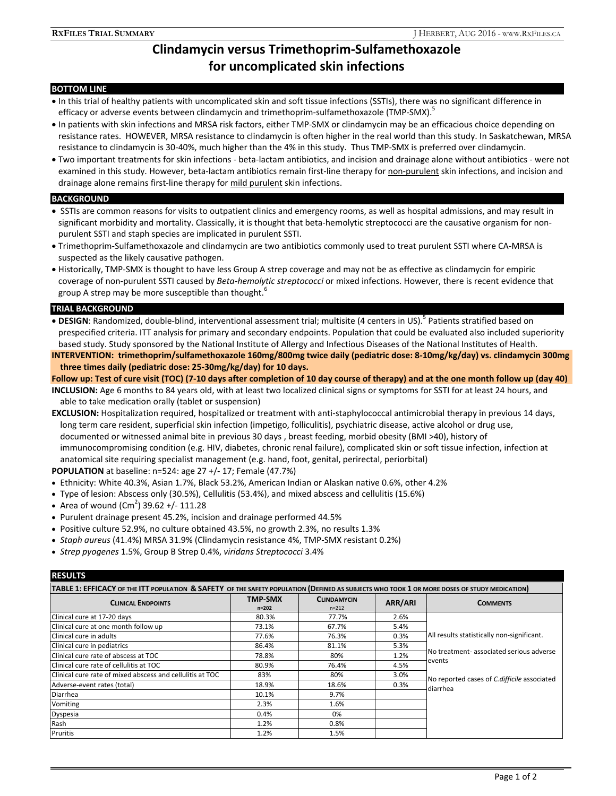# **Clindamycin versus Trimethoprim-Sulfamethoxazole for uncomplicated skin infections**

## **BOTTOM LINE**

- In this trial of healthy patients with uncomplicated skin and soft tissue infections (SSTIs), there was no significant difference in efficacy or adverse events between clindamycin and trimethoprim-sulfamethoxazole (TMP-SMX).<sup>5</sup>
- In patients with skin infections and MRSA risk factors, either TMP-SMX or clindamycin may be an efficacious choice depending on resistance rates. HOWEVER, MRSA resistance to clindamycin is often higher in the real world than this study. In Saskatchewan, MRSA resistance to clindamycin is 30-40%, much higher than the 4% in this study. Thus TMP-SMX is preferred over clindamycin.
- Two important treatments for skin infections beta-lactam antibiotics, and incision and drainage alone without antibiotics were not examined in this study. However, beta-lactam antibiotics remain first-line therapy for non-purulent skin infections, and incision and drainage alone remains first-line therapy for mild purulent skin infections.

#### **BACKGROUND**

- SSTIs are common reasons for visits to outpatient clinics and emergency rooms, as well as hospital admissions, and may result in significant morbidity and mortality. Classically, it is thought that beta-hemolytic streptococci are the causative organism for nonpurulent SSTI and staph species are implicated in purulent SSTI.
- Trimethoprim-Sulfamethoxazole and clindamycin are two antibiotics commonly used to treat purulent SSTI where CA-MRSA is suspected as the likely causative pathogen.
- Historically, TMP-SMX is thought to have less Group A strep coverage and may not be as effective as clindamycin for empiric coverage of non-purulent SSTI caused by *Beta-hemolytic streptococci* or mixed infections. However, there is recent evidence that group A strep may be more susceptible than thought.<sup>6</sup>

## **TRIAL BACKGROUND**

• DESIGN: Randomized, double-blind, interventional assessment trial; multisite (4 centers in US).<sup>5</sup> Patients stratified based on prespecified criteria. ITT analysis for primary and secondary endpoints. Population that could be evaluated also included superiority based study. Study sponsored by the National Institute of Allergy and Infectious Diseases of the National Institutes of Health.

**INTERVENTION: trimethoprim/sulfamethoxazole 160mg/800mg twice daily (pediatric dose: 8-10mg/kg/day) vs. clindamycin 300mg three times daily (pediatric dose: 25-30mg/kg/day) for 10 days.**

**Follow up: Test of cure visit (TOC) (7-10 days after completion of 10 day course of therapy) and at the one month follow up (day 40)**

**INCLUSION:** Age 6 months to 84 years old, with at least two localized clinical signs or symptoms for SSTI for at least 24 hours, and able to take medication orally (tablet or suspension)

**EXCLUSION:** Hospitalization required, hospitalized or treatment with anti-staphylococcal antimicrobial therapy in previous 14 days, long term care resident, superficial skin infection (impetigo, folliculitis), psychiatric disease, active alcohol or drug use, documented or witnessed animal bite in previous 30 days , breast feeding, morbid obesity (BMI >40), history of immunocompromising condition (e.g. HIV, diabetes, chronic renal failure), complicated skin or soft tissue infection, infection at anatomical site requiring specialist management (e.g. hand, foot, genital, perirectal, periorbital)

**POPULATION** at baseline: n=524: age 27 +/- 17; Female (47.7%)

- Ethnicity: White 40.3%, Asian 1.7%, Black 53.2%, American Indian or Alaskan native 0.6%, other 4.2%
- Type of lesion: Abscess only (30.5%), Cellulitis (53.4%), and mixed abscess and cellulitis (15.6%)
- Area of wound  $(Cm^2)$  39.62 +/- 111.28
- Purulent drainage present 45.2%, incision and drainage performed 44.5%
- Positive culture 52.9%, no culture obtained 43.5%, no growth 2.3%, no results 1.3%
- *Staph aureus* (41.4%) MRSA 31.9% (Clindamycin resistance 4%, TMP-SMX resistant 0.2%)
- *Strep pyogenes* 1.5%, Group B Strep 0.4%, *viridans Streptococci* 3.4%

#### **RESULTS**

| 11LJULIJ                                                                                                                                     |                             |                                 |                |                                                                                                                                                             |
|----------------------------------------------------------------------------------------------------------------------------------------------|-----------------------------|---------------------------------|----------------|-------------------------------------------------------------------------------------------------------------------------------------------------------------|
| TABLE 1: EFFICACY OF THE ITT POPULATION & SAFETY OF THE SAFETY POPULATION (DEFINED AS SUBJECTS WHO TOOK 1 OR MORE DOSES OF STUDY MEDICATION) |                             |                                 |                |                                                                                                                                                             |
| <b>CLINICAL ENDPOINTS</b>                                                                                                                    | <b>TMP-SMX</b><br>$n = 202$ | <b>CLINDAMYCIN</b><br>$n = 212$ | <b>ARR/ARI</b> | <b>COMMENTS</b>                                                                                                                                             |
| Clinical cure at 17-20 days                                                                                                                  | 80.3%                       | 77.7%                           | 2.6%           |                                                                                                                                                             |
| Clinical cure at one month follow up                                                                                                         | 73.1%                       | 67.7%                           | 5.4%           | All results statistically non-significant.<br>No treatment- associated serious adverse<br>events<br>No reported cases of C.difficile associated<br>diarrhea |
| Clinical cure in adults                                                                                                                      | 77.6%                       | 76.3%                           | 0.3%           |                                                                                                                                                             |
| Clinical cure in pediatrics                                                                                                                  | 86.4%                       | 81.1%                           | 5.3%           |                                                                                                                                                             |
| Clinical cure rate of abscess at TOC                                                                                                         | 78.8%                       | 80%                             | 1.2%           |                                                                                                                                                             |
| Clinical cure rate of cellulitis at TOC                                                                                                      | 80.9%                       | 76.4%                           | 4.5%           |                                                                                                                                                             |
| Clinical cure rate of mixed abscess and cellulitis at TOC                                                                                    | 83%                         | 80%                             | 3.0%           |                                                                                                                                                             |
| Adverse-event rates (total)                                                                                                                  | 18.9%                       | 18.6%                           | 0.3%           |                                                                                                                                                             |
| Diarrhea                                                                                                                                     | 10.1%                       | 9.7%                            |                |                                                                                                                                                             |
| Vomiting                                                                                                                                     | 2.3%                        | 1.6%                            |                |                                                                                                                                                             |
| Dyspesia                                                                                                                                     | 0.4%                        | 0%                              |                |                                                                                                                                                             |
| Rash                                                                                                                                         | 1.2%                        | 0.8%                            |                |                                                                                                                                                             |
| Pruritis                                                                                                                                     | 1.2%                        | 1.5%                            |                |                                                                                                                                                             |